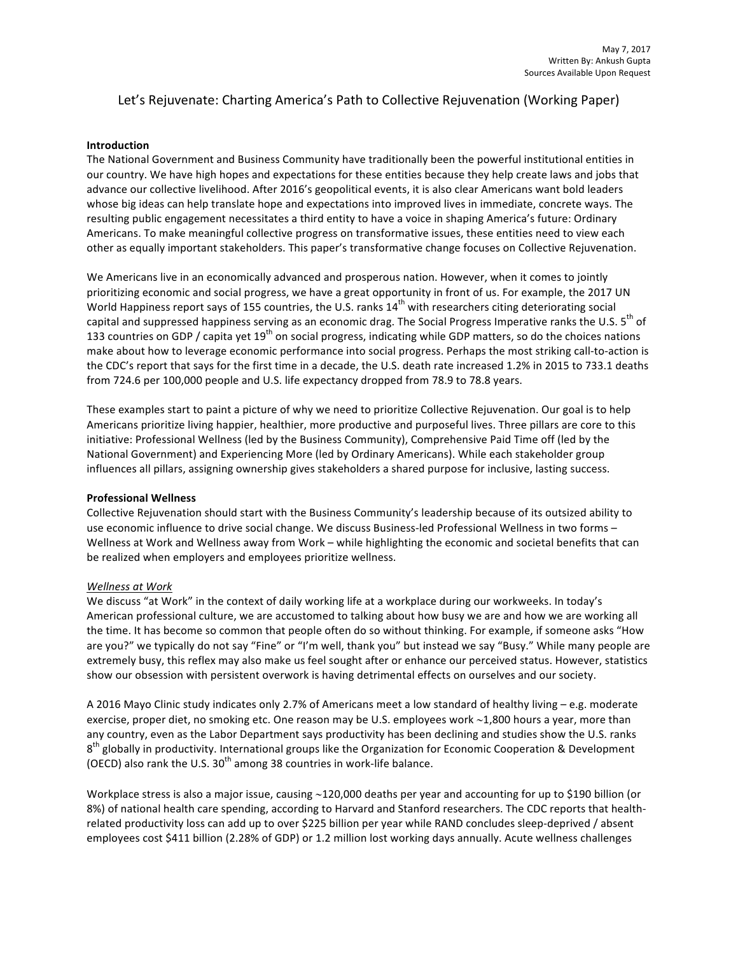# Let's Rejuvenate: Charting America's Path to Collective Rejuvenation (Working Paper)

## **Introduction**

The National Government and Business Community have traditionally been the powerful institutional entities in our country. We have high hopes and expectations for these entities because they help create laws and jobs that advance our collective livelihood. After 2016's geopolitical events, it is also clear Americans want bold leaders whose big ideas can help translate hope and expectations into improved lives in immediate, concrete ways. The resulting public engagement necessitates a third entity to have a voice in shaping America's future: Ordinary Americans. To make meaningful collective progress on transformative issues, these entities need to view each other as equally important stakeholders. This paper's transformative change focuses on Collective Rejuvenation.

We Americans live in an economically advanced and prosperous nation. However, when it comes to jointly prioritizing economic and social progress, we have a great opportunity in front of us. For example, the 2017 UN World Happiness report says of 155 countries, the U.S. ranks 14<sup>th</sup> with researchers citing deteriorating social capital and suppressed happiness serving as an economic drag. The Social Progress Imperative ranks the U.S. 5<sup>th</sup> of 133 countries on GDP / capita yet  $19^{th}$  on social progress, indicating while GDP matters, so do the choices nations make about how to leverage economic performance into social progress. Perhaps the most striking call-to-action is the CDC's report that says for the first time in a decade, the U.S. death rate increased 1.2% in 2015 to 733.1 deaths from 724.6 per 100,000 people and U.S. life expectancy dropped from 78.9 to 78.8 years.

These examples start to paint a picture of why we need to prioritize Collective Rejuvenation. Our goal is to help Americans prioritize living happier, healthier, more productive and purposeful lives. Three pillars are core to this initiative: Professional Wellness (led by the Business Community), Comprehensive Paid Time off (led by the National Government) and Experiencing More (led by Ordinary Americans). While each stakeholder group influences all pillars, assigning ownership gives stakeholders a shared purpose for inclusive, lasting success.

## **Professional Wellness**

Collective Rejuvenation should start with the Business Community's leadership because of its outsized ability to use economic influence to drive social change. We discuss Business-led Professional Wellness in two forms -Wellness at Work and Wellness away from Work - while highlighting the economic and societal benefits that can be realized when employers and employees prioritize wellness.

## *Wellness at Work*

We discuss "at Work" in the context of daily working life at a workplace during our workweeks. In today's American professional culture, we are accustomed to talking about how busy we are and how we are working all the time. It has become so common that people often do so without thinking. For example, if someone asks "How are you?" we typically do not say "Fine" or "I'm well, thank you" but instead we say "Busy." While many people are extremely busy, this reflex may also make us feel sought after or enhance our perceived status. However, statistics show our obsession with persistent overwork is having detrimental effects on ourselves and our society.

A 2016 Mayo Clinic study indicates only 2.7% of Americans meet a low standard of healthy living – e.g. moderate exercise, proper diet, no smoking etc. One reason may be U.S. employees work  $\sim$ 1,800 hours a year, more than any country, even as the Labor Department says productivity has been declining and studies show the U.S. ranks  $8<sup>th</sup>$  globally in productivity. International groups like the Organization for Economic Cooperation & Development (OECD) also rank the U.S.  $30<sup>th</sup>$  among 38 countries in work-life balance.

Workplace stress is also a major issue, causing  $\sim$ 120,000 deaths per year and accounting for up to \$190 billion (or 8%) of national health care spending, according to Harvard and Stanford researchers. The CDC reports that healthrelated productivity loss can add up to over \$225 billion per year while RAND concludes sleep-deprived / absent employees cost \$411 billion (2.28% of GDP) or 1.2 million lost working days annually. Acute wellness challenges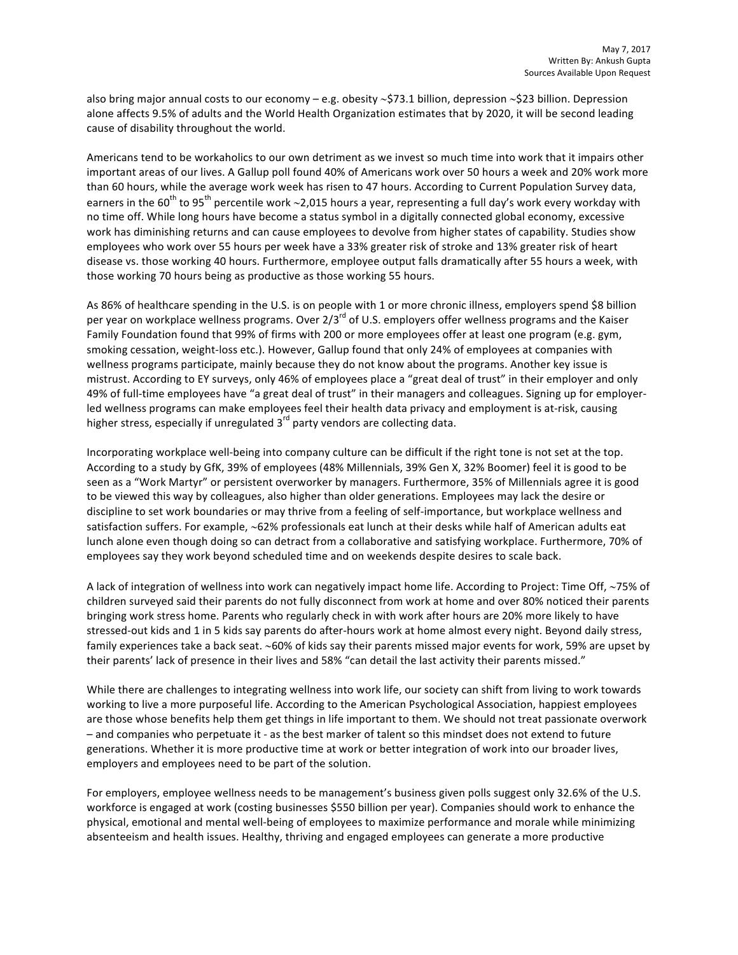also bring major annual costs to our economy – e.g. obesity  $\sim$ \$73.1 billion, depression  $\sim$ \$23 billion. Depression alone affects 9.5% of adults and the World Health Organization estimates that by 2020, it will be second leading cause of disability throughout the world.

Americans tend to be workaholics to our own detriment as we invest so much time into work that it impairs other important areas of our lives. A Gallup poll found 40% of Americans work over 50 hours a week and 20% work more than 60 hours, while the average work week has risen to 47 hours. According to Current Population Survey data, earners in the  $60^{th}$  to  $95^{th}$  percentile work ~2,015 hours a year, representing a full day's work every workday with no time off. While long hours have become a status symbol in a digitally connected global economy, excessive work has diminishing returns and can cause employees to devolve from higher states of capability. Studies show employees who work over 55 hours per week have a 33% greater risk of stroke and 13% greater risk of heart disease vs. those working 40 hours. Furthermore, employee output falls dramatically after 55 hours a week, with those working 70 hours being as productive as those working 55 hours.

As 86% of healthcare spending in the U.S. is on people with 1 or more chronic illness, employers spend \$8 billion per year on workplace wellness programs. Over 2/3<sup>rd</sup> of U.S. employers offer wellness programs and the Kaiser Family Foundation found that 99% of firms with 200 or more employees offer at least one program (e.g. gym, smoking cessation, weight-loss etc.). However, Gallup found that only 24% of employees at companies with wellness programs participate, mainly because they do not know about the programs. Another key issue is mistrust. According to EY surveys, only 46% of employees place a "great deal of trust" in their employer and only 49% of full-time employees have "a great deal of trust" in their managers and colleagues. Signing up for employerled wellness programs can make employees feel their health data privacy and employment is at-risk, causing higher stress, especially if unregulated  $3<sup>rd</sup>$  party vendors are collecting data.

Incorporating workplace well-being into company culture can be difficult if the right tone is not set at the top. According to a study by GfK, 39% of employees (48% Millennials, 39% Gen X, 32% Boomer) feel it is good to be seen as a "Work Martyr" or persistent overworker by managers. Furthermore, 35% of Millennials agree it is good to be viewed this way by colleagues, also higher than older generations. Employees may lack the desire or discipline to set work boundaries or may thrive from a feeling of self-importance, but workplace wellness and satisfaction suffers. For example, ~62% professionals eat lunch at their desks while half of American adults eat lunch alone even though doing so can detract from a collaborative and satisfying workplace. Furthermore, 70% of employees say they work beyond scheduled time and on weekends despite desires to scale back.

A lack of integration of wellness into work can negatively impact home life. According to Project: Time Off, ~75% of children surveyed said their parents do not fully disconnect from work at home and over 80% noticed their parents bringing work stress home. Parents who regularly check in with work after hours are 20% more likely to have stressed-out kids and 1 in 5 kids say parents do after-hours work at home almost every night. Beyond daily stress, family experiences take a back seat. ~60% of kids say their parents missed major events for work, 59% are upset by their parents' lack of presence in their lives and 58% "can detail the last activity their parents missed."

While there are challenges to integrating wellness into work life, our society can shift from living to work towards working to live a more purposeful life. According to the American Psychological Association, happiest employees are those whose benefits help them get things in life important to them. We should not treat passionate overwork - and companies who perpetuate it - as the best marker of talent so this mindset does not extend to future generations. Whether it is more productive time at work or better integration of work into our broader lives, employers and employees need to be part of the solution.

For employers, employee wellness needs to be management's business given polls suggest only 32.6% of the U.S. workforce is engaged at work (costing businesses \$550 billion per year). Companies should work to enhance the physical, emotional and mental well-being of employees to maximize performance and morale while minimizing absenteeism and health issues. Healthy, thriving and engaged employees can generate a more productive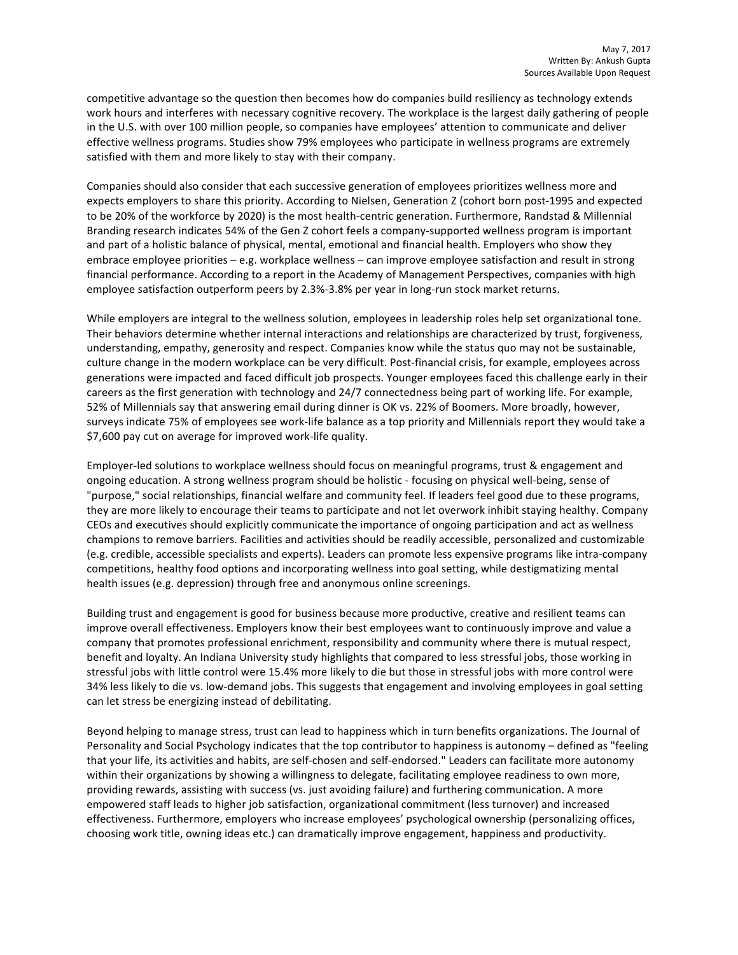competitive advantage so the question then becomes how do companies build resiliency as technology extends work hours and interferes with necessary cognitive recovery. The workplace is the largest daily gathering of people in the U.S. with over 100 million people, so companies have employees' attention to communicate and deliver effective wellness programs. Studies show 79% employees who participate in wellness programs are extremely satisfied with them and more likely to stay with their company.

Companies should also consider that each successive generation of employees prioritizes wellness more and expects employers to share this priority. According to Nielsen, Generation Z (cohort born post-1995 and expected to be 20% of the workforce by 2020) is the most health-centric generation. Furthermore, Randstad & Millennial Branding research indicates 54% of the Gen Z cohort feels a company-supported wellness program is important and part of a holistic balance of physical, mental, emotional and financial health. Employers who show they embrace employee priorities – e.g. workplace wellness – can improve employee satisfaction and result in strong financial performance. According to a report in the Academy of Management Perspectives, companies with high employee satisfaction outperform peers by 2.3%-3.8% per year in long-run stock market returns.

While employers are integral to the wellness solution, employees in leadership roles help set organizational tone. Their behaviors determine whether internal interactions and relationships are characterized by trust, forgiveness, understanding, empathy, generosity and respect. Companies know while the status quo may not be sustainable, culture change in the modern workplace can be very difficult. Post-financial crisis, for example, employees across generations were impacted and faced difficult job prospects. Younger employees faced this challenge early in their careers as the first generation with technology and 24/7 connectedness being part of working life. For example, 52% of Millennials say that answering email during dinner is OK vs. 22% of Boomers. More broadly, however, surveys indicate 75% of employees see work-life balance as a top priority and Millennials report they would take a \$7,600 pay cut on average for improved work-life quality.

Employer-led solutions to workplace wellness should focus on meaningful programs, trust & engagement and ongoing education. A strong wellness program should be holistic - focusing on physical well-being, sense of "purpose," social relationships, financial welfare and community feel. If leaders feel good due to these programs, they are more likely to encourage their teams to participate and not let overwork inhibit staying healthy. Company CEOs and executives should explicitly communicate the importance of ongoing participation and act as wellness champions to remove barriers. Facilities and activities should be readily accessible, personalized and customizable (e.g. credible, accessible specialists and experts). Leaders can promote less expensive programs like intra-company competitions, healthy food options and incorporating wellness into goal setting, while destigmatizing mental health issues (e.g. depression) through free and anonymous online screenings.

Building trust and engagement is good for business because more productive, creative and resilient teams can improve overall effectiveness. Employers know their best employees want to continuously improve and value a company that promotes professional enrichment, responsibility and community where there is mutual respect, benefit and loyalty. An Indiana University study highlights that compared to less stressful jobs, those working in stressful jobs with little control were 15.4% more likely to die but those in stressful jobs with more control were 34% less likely to die vs. low-demand jobs. This suggests that engagement and involving employees in goal setting can let stress be energizing instead of debilitating.

Beyond helping to manage stress, trust can lead to happiness which in turn benefits organizations. The Journal of Personality and Social Psychology indicates that the top contributor to happiness is autonomy - defined as "feeling that your life, its activities and habits, are self-chosen and self-endorsed." Leaders can facilitate more autonomy within their organizations by showing a willingness to delegate, facilitating employee readiness to own more, providing rewards, assisting with success (vs. just avoiding failure) and furthering communication. A more empowered staff leads to higher job satisfaction, organizational commitment (less turnover) and increased effectiveness. Furthermore, employers who increase employees' psychological ownership (personalizing offices, choosing work title, owning ideas etc.) can dramatically improve engagement, happiness and productivity.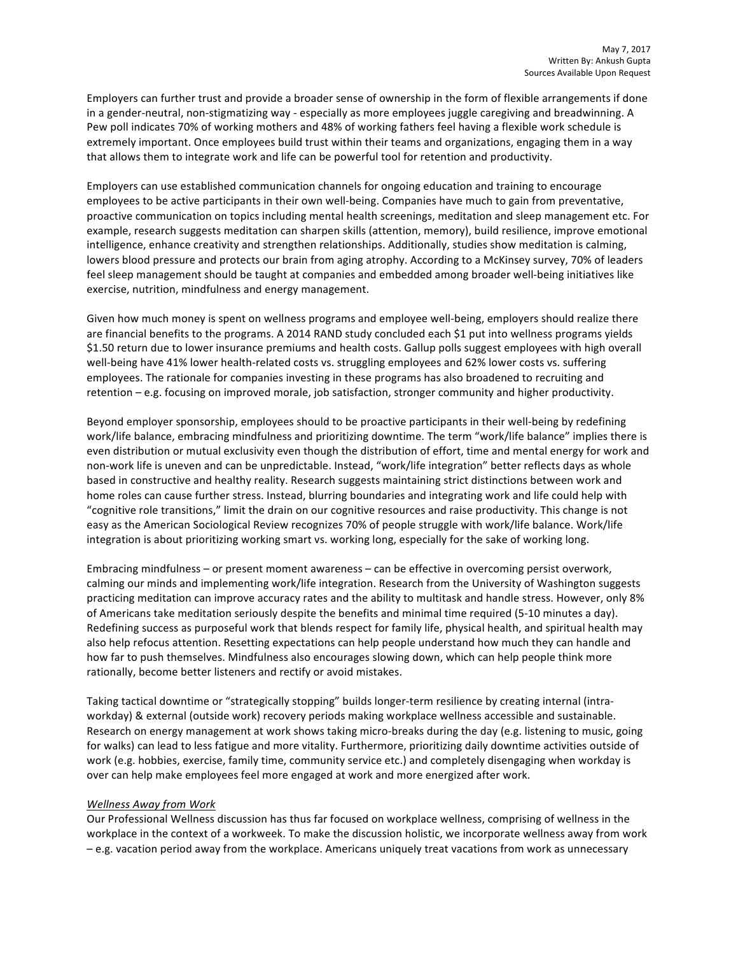Employers can further trust and provide a broader sense of ownership in the form of flexible arrangements if done in a gender-neutral, non-stigmatizing way - especially as more employees juggle caregiving and breadwinning. A Pew poll indicates 70% of working mothers and 48% of working fathers feel having a flexible work schedule is extremely important. Once employees build trust within their teams and organizations, engaging them in a way that allows them to integrate work and life can be powerful tool for retention and productivity.

Employers can use established communication channels for ongoing education and training to encourage employees to be active participants in their own well-being. Companies have much to gain from preventative, proactive communication on topics including mental health screenings, meditation and sleep management etc. For example, research suggests meditation can sharpen skills (attention, memory), build resilience, improve emotional intelligence, enhance creativity and strengthen relationships. Additionally, studies show meditation is calming, lowers blood pressure and protects our brain from aging atrophy. According to a McKinsey survey, 70% of leaders feel sleep management should be taught at companies and embedded among broader well-being initiatives like exercise, nutrition, mindfulness and energy management.

Given how much money is spent on wellness programs and employee well-being, employers should realize there are financial benefits to the programs. A 2014 RAND study concluded each \$1 put into wellness programs yields \$1.50 return due to lower insurance premiums and health costs. Gallup polls suggest employees with high overall well-being have 41% lower health-related costs vs. struggling employees and 62% lower costs vs. suffering employees. The rationale for companies investing in these programs has also broadened to recruiting and retention – e.g. focusing on improved morale, job satisfaction, stronger community and higher productivity.

Beyond employer sponsorship, employees should to be proactive participants in their well-being by redefining work/life balance, embracing mindfulness and prioritizing downtime. The term "work/life balance" implies there is even distribution or mutual exclusivity even though the distribution of effort, time and mental energy for work and non-work life is uneven and can be unpredictable. Instead, "work/life integration" better reflects days as whole based in constructive and healthy reality. Research suggests maintaining strict distinctions between work and home roles can cause further stress. Instead, blurring boundaries and integrating work and life could help with "cognitive role transitions," limit the drain on our cognitive resources and raise productivity. This change is not easy as the American Sociological Review recognizes 70% of people struggle with work/life balance. Work/life integration is about prioritizing working smart vs. working long, especially for the sake of working long.

Embracing mindfulness – or present moment awareness – can be effective in overcoming persist overwork, calming our minds and implementing work/life integration. Research from the University of Washington suggests practicing meditation can improve accuracy rates and the ability to multitask and handle stress. However, only 8% of Americans take meditation seriously despite the benefits and minimal time required (5-10 minutes a day). Redefining success as purposeful work that blends respect for family life, physical health, and spiritual health may also help refocus attention. Resetting expectations can help people understand how much they can handle and how far to push themselves. Mindfulness also encourages slowing down, which can help people think more rationally, become better listeners and rectify or avoid mistakes.

Taking tactical downtime or "strategically stopping" builds longer-term resilience by creating internal (intraworkday) & external (outside work) recovery periods making workplace wellness accessible and sustainable. Research on energy management at work shows taking micro-breaks during the day (e.g. listening to music, going for walks) can lead to less fatigue and more vitality. Furthermore, prioritizing daily downtime activities outside of work (e.g. hobbies, exercise, family time, community service etc.) and completely disengaging when workday is over can help make employees feel more engaged at work and more energized after work.

## *Wellness Away from Work*

Our Professional Wellness discussion has thus far focused on workplace wellness, comprising of wellness in the workplace in the context of a workweek. To make the discussion holistic, we incorporate wellness away from work – e.g. vacation period away from the workplace. Americans uniquely treat vacations from work as unnecessary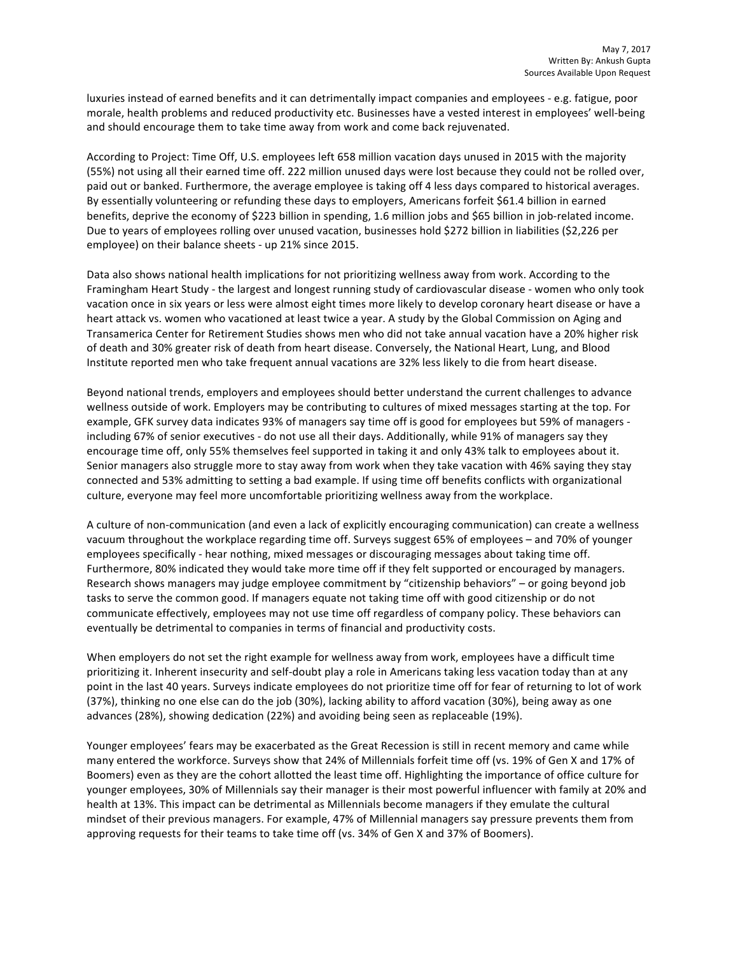luxuries instead of earned benefits and it can detrimentally impact companies and employees - e.g. fatigue, poor morale, health problems and reduced productivity etc. Businesses have a vested interest in employees' well-being and should encourage them to take time away from work and come back rejuvenated.

According to Project: Time Off, U.S. employees left 658 million vacation days unused in 2015 with the majority (55%) not using all their earned time off. 222 million unused days were lost because they could not be rolled over, paid out or banked. Furthermore, the average employee is taking off 4 less days compared to historical averages. By essentially volunteering or refunding these days to employers, Americans forfeit \$61.4 billion in earned benefits, deprive the economy of \$223 billion in spending, 1.6 million jobs and \$65 billion in job-related income. Due to years of employees rolling over unused vacation, businesses hold \$272 billion in liabilities (\$2,226 per employee) on their balance sheets - up 21% since 2015.

Data also shows national health implications for not prioritizing wellness away from work. According to the Framingham Heart Study - the largest and longest running study of cardiovascular disease - women who only took vacation once in six years or less were almost eight times more likely to develop coronary heart disease or have a heart attack vs. women who vacationed at least twice a year. A study by the Global Commission on Aging and Transamerica Center for Retirement Studies shows men who did not take annual vacation have a 20% higher risk of death and 30% greater risk of death from heart disease. Conversely, the National Heart, Lung, and Blood Institute reported men who take frequent annual vacations are 32% less likely to die from heart disease.

Beyond national trends, employers and employees should better understand the current challenges to advance wellness outside of work. Employers may be contributing to cultures of mixed messages starting at the top. For example, GFK survey data indicates 93% of managers say time off is good for employees but 59% of managers including 67% of senior executives - do not use all their days. Additionally, while 91% of managers say they encourage time off, only 55% themselves feel supported in taking it and only 43% talk to employees about it. Senior managers also struggle more to stay away from work when they take vacation with 46% saying they stay connected and 53% admitting to setting a bad example. If using time off benefits conflicts with organizational culture, everyone may feel more uncomfortable prioritizing wellness away from the workplace.

A culture of non-communication (and even a lack of explicitly encouraging communication) can create a wellness vacuum throughout the workplace regarding time off. Surveys suggest 65% of employees – and 70% of younger employees specifically - hear nothing, mixed messages or discouraging messages about taking time off. Furthermore, 80% indicated they would take more time off if they felt supported or encouraged by managers. Research shows managers may judge employee commitment by "citizenship behaviors" - or going beyond job tasks to serve the common good. If managers equate not taking time off with good citizenship or do not communicate effectively, employees may not use time off regardless of company policy. These behaviors can eventually be detrimental to companies in terms of financial and productivity costs.

When employers do not set the right example for wellness away from work, employees have a difficult time prioritizing it. Inherent insecurity and self-doubt play a role in Americans taking less vacation today than at any point in the last 40 years. Surveys indicate employees do not prioritize time off for fear of returning to lot of work (37%), thinking no one else can do the job (30%), lacking ability to afford vacation (30%), being away as one advances (28%), showing dedication (22%) and avoiding being seen as replaceable (19%).

Younger employees' fears may be exacerbated as the Great Recession is still in recent memory and came while many entered the workforce. Surveys show that 24% of Millennials forfeit time off (vs. 19% of Gen X and 17% of Boomers) even as they are the cohort allotted the least time off. Highlighting the importance of office culture for younger employees, 30% of Millennials say their manager is their most powerful influencer with family at 20% and health at 13%. This impact can be detrimental as Millennials become managers if they emulate the cultural mindset of their previous managers. For example, 47% of Millennial managers say pressure prevents them from approving requests for their teams to take time off (vs. 34% of Gen X and 37% of Boomers).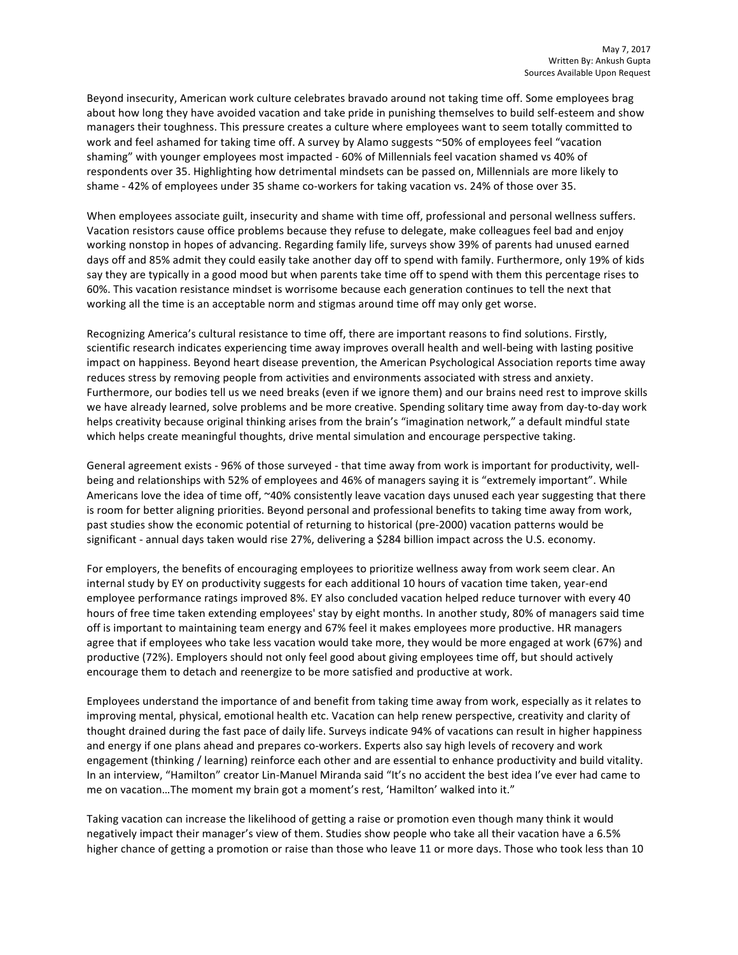Beyond insecurity, American work culture celebrates bravado around not taking time off. Some employees brag about how long they have avoided vacation and take pride in punishing themselves to build self-esteem and show managers their toughness. This pressure creates a culture where employees want to seem totally committed to work and feel ashamed for taking time off. A survey by Alamo suggests ~50% of employees feel "vacation shaming" with younger employees most impacted - 60% of Millennials feel vacation shamed vs 40% of respondents over 35. Highlighting how detrimental mindsets can be passed on, Millennials are more likely to shame - 42% of employees under 35 shame co-workers for taking vacation vs. 24% of those over 35.

When employees associate guilt, insecurity and shame with time off, professional and personal wellness suffers. Vacation resistors cause office problems because they refuse to delegate, make colleagues feel bad and enjoy working nonstop in hopes of advancing. Regarding family life, surveys show 39% of parents had unused earned days off and 85% admit they could easily take another day off to spend with family. Furthermore, only 19% of kids say they are typically in a good mood but when parents take time off to spend with them this percentage rises to 60%. This vacation resistance mindset is worrisome because each generation continues to tell the next that working all the time is an acceptable norm and stigmas around time off may only get worse.

Recognizing America's cultural resistance to time off, there are important reasons to find solutions. Firstly, scientific research indicates experiencing time away improves overall health and well-being with lasting positive impact on happiness. Beyond heart disease prevention, the American Psychological Association reports time away reduces stress by removing people from activities and environments associated with stress and anxiety. Furthermore, our bodies tell us we need breaks (even if we ignore them) and our brains need rest to improve skills we have already learned, solve problems and be more creative. Spending solitary time away from day-to-day work helps creativity because original thinking arises from the brain's "imagination network," a default mindful state which helps create meaningful thoughts, drive mental simulation and encourage perspective taking.

General agreement exists - 96% of those surveyed - that time away from work is important for productivity, wellbeing and relationships with 52% of employees and 46% of managers saying it is "extremely important". While Americans love the idea of time off,  $\sim$ 40% consistently leave vacation days unused each year suggesting that there is room for better aligning priorities. Beyond personal and professional benefits to taking time away from work, past studies show the economic potential of returning to historical (pre-2000) vacation patterns would be significant - annual days taken would rise 27%, delivering a \$284 billion impact across the U.S. economy.

For employers, the benefits of encouraging employees to prioritize wellness away from work seem clear. An internal study by EY on productivity suggests for each additional 10 hours of vacation time taken, year-end employee performance ratings improved 8%. EY also concluded vacation helped reduce turnover with every 40 hours of free time taken extending employees' stay by eight months. In another study, 80% of managers said time off is important to maintaining team energy and 67% feel it makes employees more productive. HR managers agree that if employees who take less vacation would take more, they would be more engaged at work (67%) and productive (72%). Employers should not only feel good about giving employees time off, but should actively encourage them to detach and reenergize to be more satisfied and productive at work.

Employees understand the importance of and benefit from taking time away from work, especially as it relates to improving mental, physical, emotional health etc. Vacation can help renew perspective, creativity and clarity of thought drained during the fast pace of daily life. Surveys indicate 94% of vacations can result in higher happiness and energy if one plans ahead and prepares co-workers. Experts also say high levels of recovery and work engagement (thinking / learning) reinforce each other and are essential to enhance productivity and build vitality. In an interview, "Hamilton" creator Lin-Manuel Miranda said "It's no accident the best idea I've ever had came to me on vacation...The moment my brain got a moment's rest, 'Hamilton' walked into it."

Taking vacation can increase the likelihood of getting a raise or promotion even though many think it would negatively impact their manager's view of them. Studies show people who take all their vacation have a 6.5% higher chance of getting a promotion or raise than those who leave 11 or more days. Those who took less than 10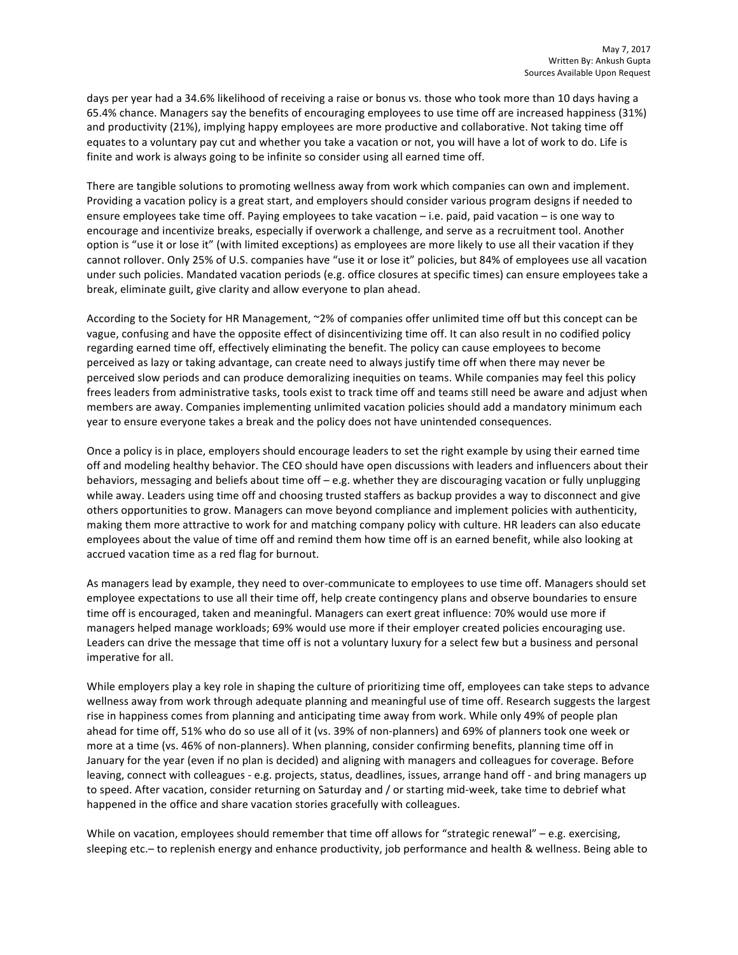days per year had a 34.6% likelihood of receiving a raise or bonus vs. those who took more than 10 days having a 65.4% chance. Managers say the benefits of encouraging employees to use time off are increased happiness (31%) and productivity (21%), implying happy employees are more productive and collaborative. Not taking time off equates to a voluntary pay cut and whether you take a vacation or not, you will have a lot of work to do. Life is finite and work is always going to be infinite so consider using all earned time off.

There are tangible solutions to promoting wellness away from work which companies can own and implement. Providing a vacation policy is a great start, and employers should consider various program designs if needed to ensure employees take time off. Paying employees to take vacation  $-$  i.e. paid, paid vacation  $-$  is one way to encourage and incentivize breaks, especially if overwork a challenge, and serve as a recruitment tool. Another option is "use it or lose it" (with limited exceptions) as employees are more likely to use all their vacation if they cannot rollover. Only 25% of U.S. companies have "use it or lose it" policies, but 84% of employees use all vacation under such policies. Mandated vacation periods (e.g. office closures at specific times) can ensure employees take a break, eliminate guilt, give clarity and allow everyone to plan ahead.

According to the Society for HR Management, ~2% of companies offer unlimited time off but this concept can be vague, confusing and have the opposite effect of disincentivizing time off. It can also result in no codified policy regarding earned time off, effectively eliminating the benefit. The policy can cause employees to become perceived as lazy or taking advantage, can create need to always justify time off when there may never be perceived slow periods and can produce demoralizing inequities on teams. While companies may feel this policy frees leaders from administrative tasks, tools exist to track time off and teams still need be aware and adjust when members are away. Companies implementing unlimited vacation policies should add a mandatory minimum each year to ensure everyone takes a break and the policy does not have unintended consequences.

Once a policy is in place, employers should encourage leaders to set the right example by using their earned time off and modeling healthy behavior. The CEO should have open discussions with leaders and influencers about their behaviors, messaging and beliefs about time off  $-$  e.g. whether they are discouraging vacation or fully unplugging while away. Leaders using time off and choosing trusted staffers as backup provides a way to disconnect and give others opportunities to grow. Managers can move beyond compliance and implement policies with authenticity, making them more attractive to work for and matching company policy with culture. HR leaders can also educate employees about the value of time off and remind them how time off is an earned benefit, while also looking at accrued vacation time as a red flag for burnout.

As managers lead by example, they need to over-communicate to employees to use time off. Managers should set employee expectations to use all their time off, help create contingency plans and observe boundaries to ensure time off is encouraged, taken and meaningful. Managers can exert great influence: 70% would use more if managers helped manage workloads; 69% would use more if their employer created policies encouraging use. Leaders can drive the message that time off is not a voluntary luxury for a select few but a business and personal imperative for all.

While employers play a key role in shaping the culture of prioritizing time off, employees can take steps to advance wellness away from work through adequate planning and meaningful use of time off. Research suggests the largest rise in happiness comes from planning and anticipating time away from work. While only 49% of people plan ahead for time off, 51% who do so use all of it (vs. 39% of non-planners) and 69% of planners took one week or more at a time (vs. 46% of non-planners). When planning, consider confirming benefits, planning time off in January for the year (even if no plan is decided) and aligning with managers and colleagues for coverage. Before leaving, connect with colleagues - e.g. projects, status, deadlines, issues, arrange hand off - and bring managers up to speed. After vacation, consider returning on Saturday and / or starting mid-week, take time to debrief what happened in the office and share vacation stories gracefully with colleagues.

While on vacation, employees should remember that time off allows for "strategic renewal" – e.g. exercising, sleeping etc.– to replenish energy and enhance productivity, job performance and health & wellness. Being able to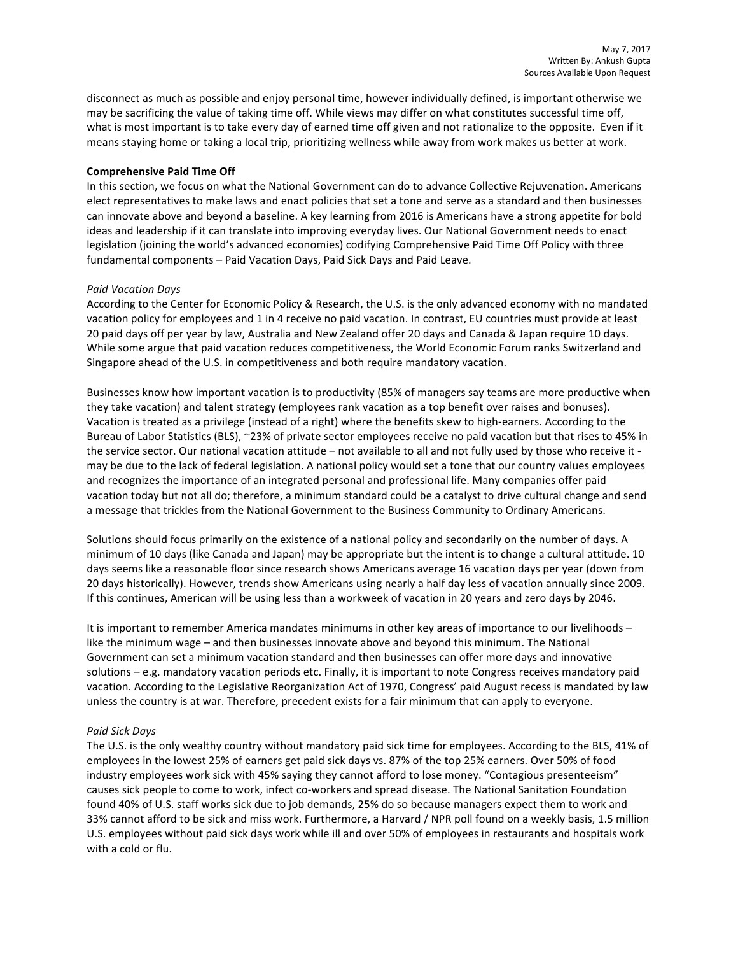disconnect as much as possible and enjoy personal time, however individually defined, is important otherwise we may be sacrificing the value of taking time off. While views may differ on what constitutes successful time off, what is most important is to take every day of earned time off given and not rationalize to the opposite. Even if it means staying home or taking a local trip, prioritizing wellness while away from work makes us better at work.

# **Comprehensive Paid Time Off**

In this section, we focus on what the National Government can do to advance Collective Rejuvenation. Americans elect representatives to make laws and enact policies that set a tone and serve as a standard and then businesses can innovate above and beyond a baseline. A key learning from 2016 is Americans have a strong appetite for bold ideas and leadership if it can translate into improving everyday lives. Our National Government needs to enact legislation (joining the world's advanced economies) codifying Comprehensive Paid Time Off Policy with three fundamental components – Paid Vacation Days, Paid Sick Days and Paid Leave.

# *Paid Vacation Days*

According to the Center for Economic Policy & Research, the U.S. is the only advanced economy with no mandated vacation policy for employees and 1 in 4 receive no paid vacation. In contrast, EU countries must provide at least 20 paid days off per year by law, Australia and New Zealand offer 20 days and Canada & Japan require 10 days. While some argue that paid vacation reduces competitiveness, the World Economic Forum ranks Switzerland and Singapore ahead of the U.S. in competitiveness and both require mandatory vacation.

Businesses know how important vacation is to productivity (85% of managers say teams are more productive when they take vacation) and talent strategy (employees rank vacation as a top benefit over raises and bonuses). Vacation is treated as a privilege (instead of a right) where the benefits skew to high-earners. According to the Bureau of Labor Statistics (BLS), ~23% of private sector employees receive no paid vacation but that rises to 45% in the service sector. Our national vacation attitude  $-$  not available to all and not fully used by those who receive it may be due to the lack of federal legislation. A national policy would set a tone that our country values employees and recognizes the importance of an integrated personal and professional life. Many companies offer paid vacation today but not all do; therefore, a minimum standard could be a catalyst to drive cultural change and send a message that trickles from the National Government to the Business Community to Ordinary Americans.

Solutions should focus primarily on the existence of a national policy and secondarily on the number of days. A minimum of 10 days (like Canada and Japan) may be appropriate but the intent is to change a cultural attitude. 10 days seems like a reasonable floor since research shows Americans average 16 vacation days per year (down from 20 days historically). However, trends show Americans using nearly a half day less of vacation annually since 2009. If this continues, American will be using less than a workweek of vacation in 20 years and zero days by 2046.

It is important to remember America mandates minimums in other key areas of importance to our livelihoods like the minimum wage – and then businesses innovate above and beyond this minimum. The National Government can set a minimum vacation standard and then businesses can offer more days and innovative solutions – e.g. mandatory vacation periods etc. Finally, it is important to note Congress receives mandatory paid vacation. According to the Legislative Reorganization Act of 1970, Congress' paid August recess is mandated by law unless the country is at war. Therefore, precedent exists for a fair minimum that can apply to everyone.

## *Paid Sick Days*

The U.S. is the only wealthy country without mandatory paid sick time for employees. According to the BLS, 41% of employees in the lowest 25% of earners get paid sick days vs. 87% of the top 25% earners. Over 50% of food industry employees work sick with 45% saying they cannot afford to lose money. "Contagious presenteeism" causes sick people to come to work, infect co-workers and spread disease. The National Sanitation Foundation found 40% of U.S. staff works sick due to job demands, 25% do so because managers expect them to work and 33% cannot afford to be sick and miss work. Furthermore, a Harvard / NPR poll found on a weekly basis, 1.5 million U.S. employees without paid sick days work while ill and over 50% of employees in restaurants and hospitals work with a cold or flu.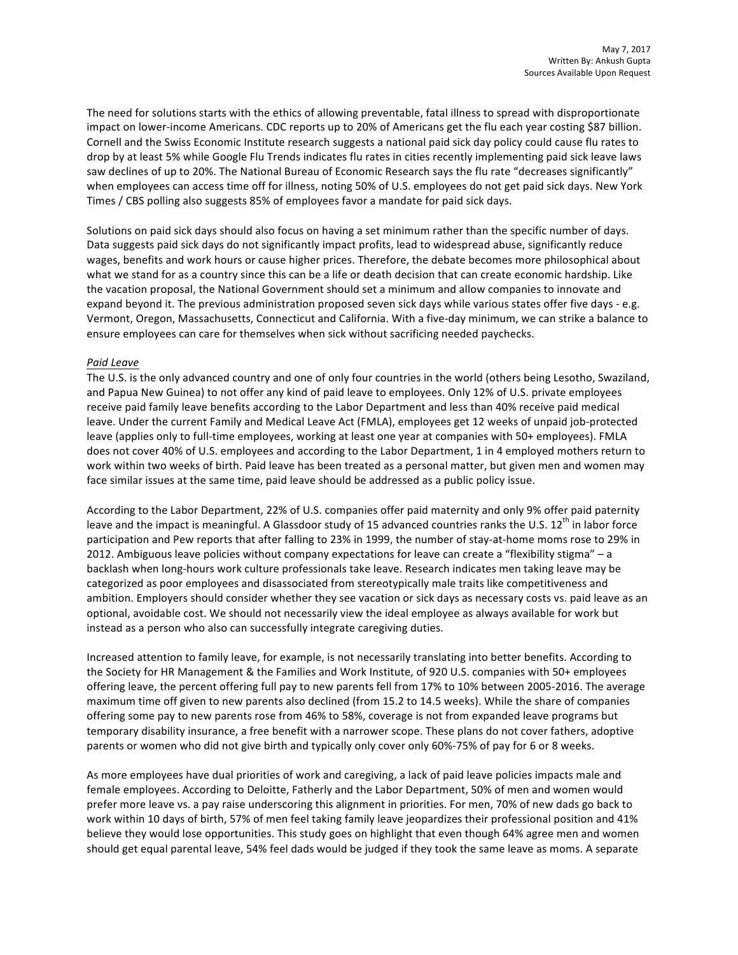The need for solutions starts with the ethics of allowing preventable, fatal illness to spread with disproportionate impact on lower-income Americans. CDC reports up to 20% of Americans get the flu each year costing \$87 billion. Cornell and the Swiss Economic Institute research suggests a national paid sick day policy could cause flu rates to drop by at least 5% while Google Flu Trends indicates flu rates in cities recently implementing paid sick leave laws saw declines of up to 20%. The National Bureau of Economic Research says the flu rate "decreases significantly" when employees can access time off for illness, noting 50% of U.S. employees do not get paid sick days. New York Times / CBS polling also suggests 85% of employees favor a mandate for paid sick days.

Solutions on paid sick days should also focus on having a set minimum rather than the specific number of days. Data suggests paid sick days do not significantly impact profits, lead to widespread abuse, significantly reduce wages, benefits and work hours or cause higher prices. Therefore, the debate becomes more philosophical about what we stand for as a country since this can be a life or death decision that can create economic hardship. Like the vacation proposal, the National Government should set a minimum and allow companies to innovate and expand beyond it. The previous administration proposed seven sick days while various states offer five days - e.g. Vermont, Oregon, Massachusetts, Connecticut and California. With a five-day minimum, we can strike a balance to ensure employees can care for themselves when sick without sacrificing needed paychecks.

## *Paid Leave*

The U.S. is the only advanced country and one of only four countries in the world (others being Lesotho, Swaziland, and Papua New Guinea) to not offer any kind of paid leave to employees. Only 12% of U.S. private employees receive paid family leave benefits according to the Labor Department and less than 40% receive paid medical leave. Under the current Family and Medical Leave Act (FMLA), employees get 12 weeks of unpaid job-protected leave (applies only to full-time employees, working at least one year at companies with 50+ employees). FMLA does not cover 40% of U.S. employees and according to the Labor Department, 1 in 4 employed mothers return to work within two weeks of birth. Paid leave has been treated as a personal matter, but given men and women may face similar issues at the same time, paid leave should be addressed as a public policy issue.

According to the Labor Department, 22% of U.S. companies offer paid maternity and only 9% offer paid paternity leave and the impact is meaningful. A Glassdoor study of 15 advanced countries ranks the U.S.  $12^{th}$  in labor force participation and Pew reports that after falling to 23% in 1999, the number of stay-at-home moms rose to 29% in 2012. Ambiguous leave policies without company expectations for leave can create a "flexibility stigma" – a backlash when long-hours work culture professionals take leave. Research indicates men taking leave may be categorized as poor employees and disassociated from stereotypically male traits like competitiveness and ambition. Employers should consider whether they see vacation or sick days as necessary costs vs. paid leave as an optional, avoidable cost. We should not necessarily view the ideal employee as always available for work but instead as a person who also can successfully integrate caregiving duties.

Increased attention to family leave, for example, is not necessarily translating into better benefits. According to the Society for HR Management & the Families and Work Institute, of 920 U.S. companies with 50+ employees offering leave, the percent offering full pay to new parents fell from 17% to 10% between 2005-2016. The average maximum time off given to new parents also declined (from 15.2 to 14.5 weeks). While the share of companies offering some pay to new parents rose from 46% to 58%, coverage is not from expanded leave programs but temporary disability insurance, a free benefit with a narrower scope. These plans do not cover fathers, adoptive parents or women who did not give birth and typically only cover only 60%-75% of pay for 6 or 8 weeks.

As more employees have dual priorities of work and caregiving, a lack of paid leave policies impacts male and female employees. According to Deloitte, Fatherly and the Labor Department, 50% of men and women would prefer more leave vs. a pay raise underscoring this alignment in priorities. For men, 70% of new dads go back to work within 10 days of birth, 57% of men feel taking family leave jeopardizes their professional position and 41% believe they would lose opportunities. This study goes on highlight that even though 64% agree men and women should get equal parental leave, 54% feel dads would be judged if they took the same leave as moms. A separate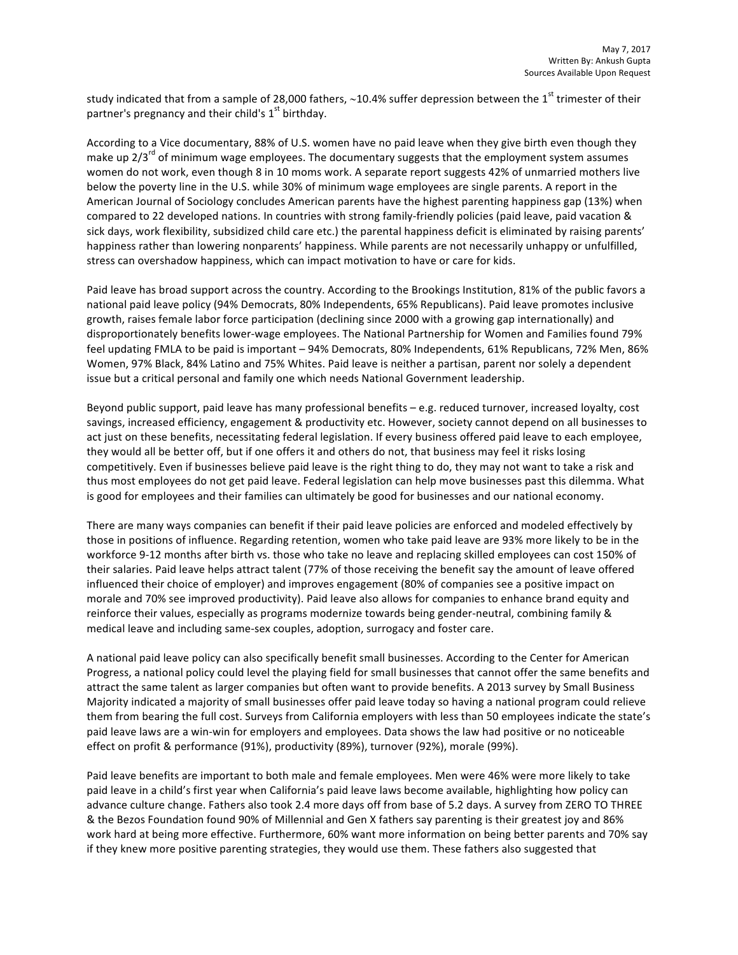study indicated that from a sample of 28,000 fathers, ~10.4% suffer depression between the  $1<sup>st</sup>$  trimester of their partner's pregnancy and their child's  $1<sup>st</sup>$  birthday.

According to a Vice documentary, 88% of U.S. women have no paid leave when they give birth even though they make up  $2/3^{rd}$  of minimum wage employees. The documentary suggests that the employment system assumes women do not work, even though 8 in 10 moms work. A separate report suggests 42% of unmarried mothers live below the poverty line in the U.S. while 30% of minimum wage employees are single parents. A report in the American Journal of Sociology concludes American parents have the highest parenting happiness gap (13%) when compared to 22 developed nations. In countries with strong family-friendly policies (paid leave, paid vacation & sick days, work flexibility, subsidized child care etc.) the parental happiness deficit is eliminated by raising parents' happiness rather than lowering nonparents' happiness. While parents are not necessarily unhappy or unfulfilled, stress can overshadow happiness, which can impact motivation to have or care for kids.

Paid leave has broad support across the country. According to the Brookings Institution, 81% of the public favors a national paid leave policy (94% Democrats, 80% Independents, 65% Republicans). Paid leave promotes inclusive growth, raises female labor force participation (declining since 2000 with a growing gap internationally) and disproportionately benefits lower-wage employees. The National Partnership for Women and Families found 79% feel updating FMLA to be paid is important – 94% Democrats, 80% Independents, 61% Republicans, 72% Men, 86% Women, 97% Black, 84% Latino and 75% Whites. Paid leave is neither a partisan, parent nor solely a dependent issue but a critical personal and family one which needs National Government leadership.

Beyond public support, paid leave has many professional benefits - e.g. reduced turnover, increased loyalty, cost savings, increased efficiency, engagement & productivity etc. However, society cannot depend on all businesses to act just on these benefits, necessitating federal legislation. If every business offered paid leave to each employee, they would all be better off, but if one offers it and others do not, that business may feel it risks losing competitively. Even if businesses believe paid leave is the right thing to do, they may not want to take a risk and thus most employees do not get paid leave. Federal legislation can help move businesses past this dilemma. What is good for employees and their families can ultimately be good for businesses and our national economy.

There are many ways companies can benefit if their paid leave policies are enforced and modeled effectively by those in positions of influence. Regarding retention, women who take paid leave are 93% more likely to be in the workforce 9-12 months after birth vs. those who take no leave and replacing skilled employees can cost 150% of their salaries. Paid leave helps attract talent (77% of those receiving the benefit say the amount of leave offered influenced their choice of employer) and improves engagement (80% of companies see a positive impact on morale and 70% see improved productivity). Paid leave also allows for companies to enhance brand equity and reinforce their values, especially as programs modernize towards being gender-neutral, combining family & medical leave and including same-sex couples, adoption, surrogacy and foster care.

A national paid leave policy can also specifically benefit small businesses. According to the Center for American Progress, a national policy could level the playing field for small businesses that cannot offer the same benefits and attract the same talent as larger companies but often want to provide benefits. A 2013 survey by Small Business Majority indicated a majority of small businesses offer paid leave today so having a national program could relieve them from bearing the full cost. Surveys from California employers with less than 50 employees indicate the state's paid leave laws are a win-win for employers and employees. Data shows the law had positive or no noticeable effect on profit & performance (91%), productivity (89%), turnover (92%), morale (99%).

Paid leave benefits are important to both male and female employees. Men were 46% were more likely to take paid leave in a child's first year when California's paid leave laws become available, highlighting how policy can advance culture change. Fathers also took 2.4 more days off from base of 5.2 days. A survey from ZERO TO THREE & the Bezos Foundation found 90% of Millennial and Gen X fathers say parenting is their greatest joy and 86% work hard at being more effective. Furthermore, 60% want more information on being better parents and 70% say if they knew more positive parenting strategies, they would use them. These fathers also suggested that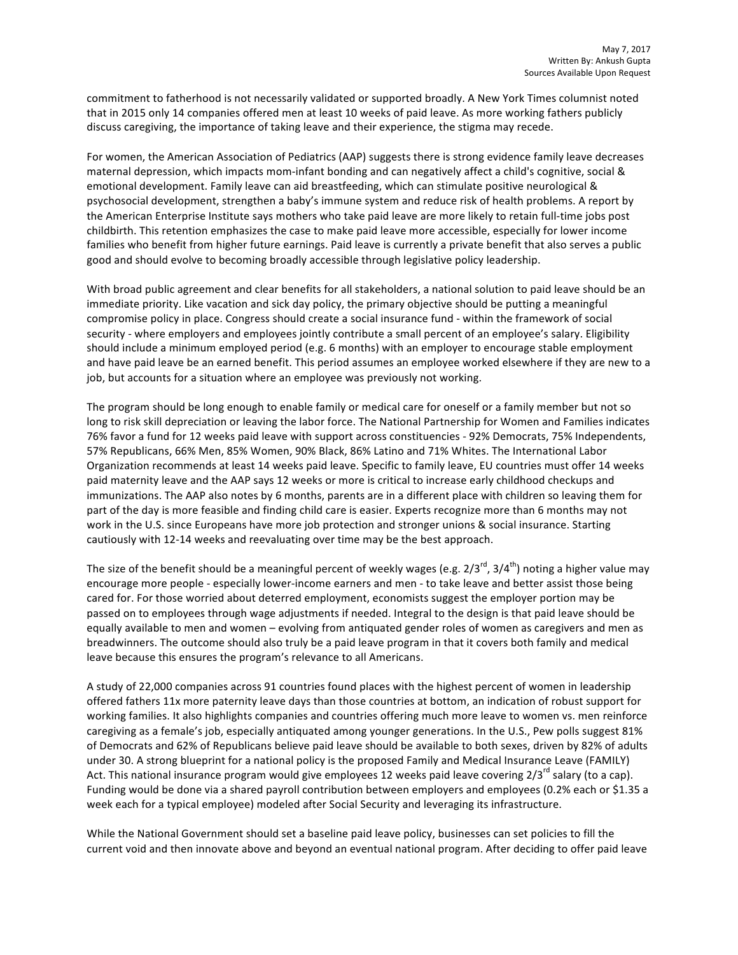commitment to fatherhood is not necessarily validated or supported broadly. A New York Times columnist noted that in 2015 only 14 companies offered men at least 10 weeks of paid leave. As more working fathers publicly discuss caregiving, the importance of taking leave and their experience, the stigma may recede.

For women, the American Association of Pediatrics (AAP) suggests there is strong evidence family leave decreases maternal depression, which impacts mom-infant bonding and can negatively affect a child's cognitive, social & emotional development. Family leave can aid breastfeeding, which can stimulate positive neurological & psychosocial development, strengthen a baby's immune system and reduce risk of health problems. A report by the American Enterprise Institute says mothers who take paid leave are more likely to retain full-time jobs post childbirth. This retention emphasizes the case to make paid leave more accessible, especially for lower income families who benefit from higher future earnings. Paid leave is currently a private benefit that also serves a public good and should evolve to becoming broadly accessible through legislative policy leadership.

With broad public agreement and clear benefits for all stakeholders, a national solution to paid leave should be an immediate priority. Like vacation and sick day policy, the primary objective should be putting a meaningful compromise policy in place. Congress should create a social insurance fund - within the framework of social security - where employers and employees jointly contribute a small percent of an employee's salary. Eligibility should include a minimum employed period (e.g. 6 months) with an employer to encourage stable employment and have paid leave be an earned benefit. This period assumes an employee worked elsewhere if they are new to a job, but accounts for a situation where an employee was previously not working.

The program should be long enough to enable family or medical care for oneself or a family member but not so long to risk skill depreciation or leaving the labor force. The National Partnership for Women and Families indicates 76% favor a fund for 12 weeks paid leave with support across constituencies - 92% Democrats, 75% Independents, 57% Republicans, 66% Men, 85% Women, 90% Black, 86% Latino and 71% Whites. The International Labor Organization recommends at least 14 weeks paid leave. Specific to family leave, EU countries must offer 14 weeks paid maternity leave and the AAP says 12 weeks or more is critical to increase early childhood checkups and immunizations. The AAP also notes by 6 months, parents are in a different place with children so leaving them for part of the day is more feasible and finding child care is easier. Experts recognize more than 6 months may not work in the U.S. since Europeans have more job protection and stronger unions & social insurance. Starting cautiously with 12-14 weeks and reevaluating over time may be the best approach.

The size of the benefit should be a meaningful percent of weekly wages (e.g.  $2/3^{rd}$ ,  $3/4^{th}$ ) noting a higher value may encourage more people - especially lower-income earners and men - to take leave and better assist those being cared for. For those worried about deterred employment, economists suggest the employer portion may be passed on to employees through wage adjustments if needed. Integral to the design is that paid leave should be equally available to men and women - evolving from antiquated gender roles of women as caregivers and men as breadwinners. The outcome should also truly be a paid leave program in that it covers both family and medical leave because this ensures the program's relevance to all Americans.

A study of 22,000 companies across 91 countries found places with the highest percent of women in leadership offered fathers 11x more paternity leave days than those countries at bottom, an indication of robust support for working families. It also highlights companies and countries offering much more leave to women vs. men reinforce caregiving as a female's job, especially antiquated among younger generations. In the U.S., Pew polls suggest 81% of Democrats and 62% of Republicans believe paid leave should be available to both sexes, driven by 82% of adults under 30. A strong blueprint for a national policy is the proposed Family and Medical Insurance Leave (FAMILY) Act. This national insurance program would give employees 12 weeks paid leave covering  $2/3^{rd}$  salary (to a cap). Funding would be done via a shared payroll contribution between employers and employees (0.2% each or \$1.35 a week each for a typical employee) modeled after Social Security and leveraging its infrastructure.

While the National Government should set a baseline paid leave policy, businesses can set policies to fill the current void and then innovate above and beyond an eventual national program. After deciding to offer paid leave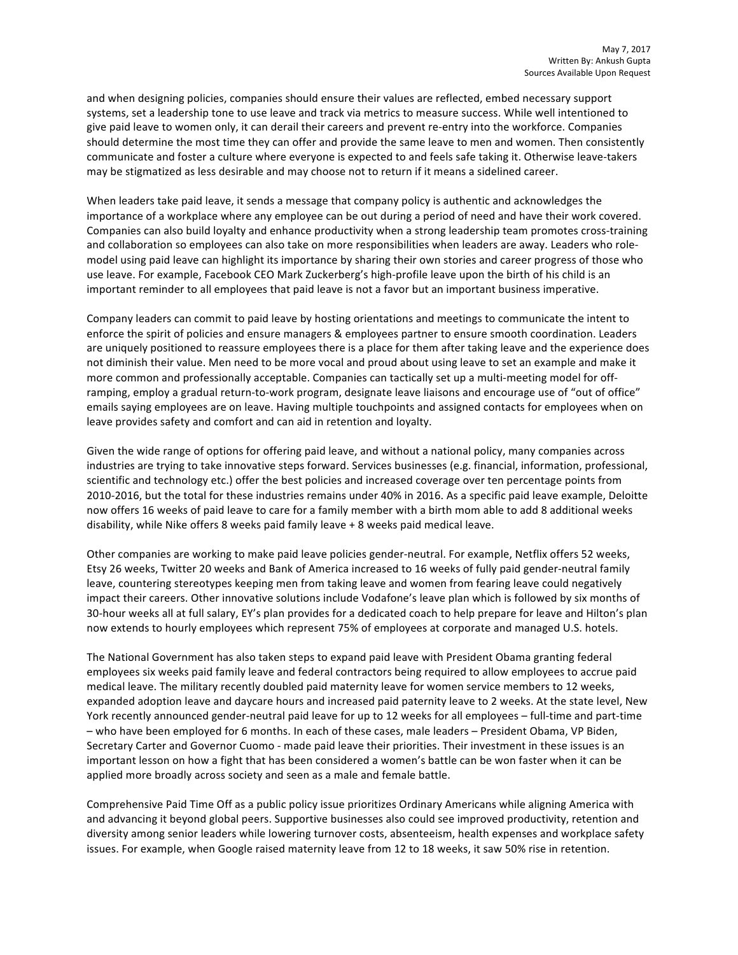and when designing policies, companies should ensure their values are reflected, embed necessary support systems, set a leadership tone to use leave and track via metrics to measure success. While well intentioned to give paid leave to women only, it can derail their careers and prevent re-entry into the workforce. Companies should determine the most time they can offer and provide the same leave to men and women. Then consistently communicate and foster a culture where everyone is expected to and feels safe taking it. Otherwise leave-takers may be stigmatized as less desirable and may choose not to return if it means a sidelined career.

When leaders take paid leave, it sends a message that company policy is authentic and acknowledges the importance of a workplace where any employee can be out during a period of need and have their work covered. Companies can also build loyalty and enhance productivity when a strong leadership team promotes cross-training and collaboration so employees can also take on more responsibilities when leaders are away. Leaders who rolemodel using paid leave can highlight its importance by sharing their own stories and career progress of those who use leave. For example, Facebook CEO Mark Zuckerberg's high-profile leave upon the birth of his child is an important reminder to all employees that paid leave is not a favor but an important business imperative.

Company leaders can commit to paid leave by hosting orientations and meetings to communicate the intent to enforce the spirit of policies and ensure managers & employees partner to ensure smooth coordination. Leaders are uniquely positioned to reassure employees there is a place for them after taking leave and the experience does not diminish their value. Men need to be more vocal and proud about using leave to set an example and make it more common and professionally acceptable. Companies can tactically set up a multi-meeting model for offramping, employ a gradual return-to-work program, designate leave liaisons and encourage use of "out of office" emails saying employees are on leave. Having multiple touchpoints and assigned contacts for employees when on leave provides safety and comfort and can aid in retention and loyalty.

Given the wide range of options for offering paid leave, and without a national policy, many companies across industries are trying to take innovative steps forward. Services businesses (e.g. financial, information, professional, scientific and technology etc.) offer the best policies and increased coverage over ten percentage points from 2010-2016, but the total for these industries remains under 40% in 2016. As a specific paid leave example, Deloitte now offers 16 weeks of paid leave to care for a family member with a birth mom able to add 8 additional weeks disability, while Nike offers 8 weeks paid family leave  $+8$  weeks paid medical leave.

Other companies are working to make paid leave policies gender-neutral. For example, Netflix offers 52 weeks, Etsy 26 weeks, Twitter 20 weeks and Bank of America increased to 16 weeks of fully paid gender-neutral family leave, countering stereotypes keeping men from taking leave and women from fearing leave could negatively impact their careers. Other innovative solutions include Vodafone's leave plan which is followed by six months of 30-hour weeks all at full salary, EY's plan provides for a dedicated coach to help prepare for leave and Hilton's plan now extends to hourly employees which represent 75% of employees at corporate and managed U.S. hotels.

The National Government has also taken steps to expand paid leave with President Obama granting federal employees six weeks paid family leave and federal contractors being required to allow employees to accrue paid medical leave. The military recently doubled paid maternity leave for women service members to 12 weeks, expanded adoption leave and daycare hours and increased paid paternity leave to 2 weeks. At the state level, New York recently announced gender-neutral paid leave for up to 12 weeks for all employees – full-time and part-time – who have been employed for 6 months. In each of these cases, male leaders – President Obama, VP Biden, Secretary Carter and Governor Cuomo - made paid leave their priorities. Their investment in these issues is an important lesson on how a fight that has been considered a women's battle can be won faster when it can be applied more broadly across society and seen as a male and female battle.

Comprehensive Paid Time Off as a public policy issue prioritizes Ordinary Americans while aligning America with and advancing it beyond global peers. Supportive businesses also could see improved productivity, retention and diversity among senior leaders while lowering turnover costs, absenteeism, health expenses and workplace safety issues. For example, when Google raised maternity leave from 12 to 18 weeks, it saw 50% rise in retention.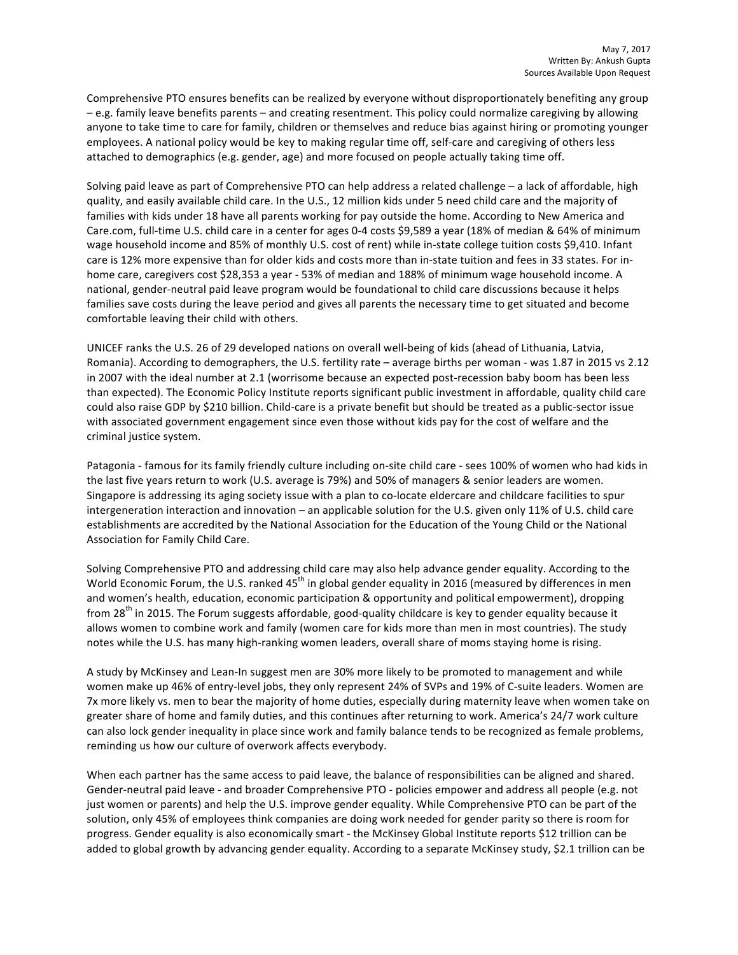Comprehensive PTO ensures benefits can be realized by everyone without disproportionately benefiting any group – e.g. family leave benefits parents – and creating resentment. This policy could normalize caregiving by allowing anyone to take time to care for family, children or themselves and reduce bias against hiring or promoting younger employees. A national policy would be key to making regular time off, self-care and caregiving of others less attached to demographics (e.g. gender, age) and more focused on people actually taking time off.

Solving paid leave as part of Comprehensive PTO can help address a related challenge – a lack of affordable, high quality, and easily available child care. In the U.S., 12 million kids under 5 need child care and the majority of families with kids under 18 have all parents working for pay outside the home. According to New America and Care.com, full-time U.S. child care in a center for ages 0-4 costs \$9,589 a year (18% of median & 64% of minimum wage household income and 85% of monthly U.S. cost of rent) while in-state college tuition costs \$9,410. Infant care is 12% more expensive than for older kids and costs more than in-state tuition and fees in 33 states. For inhome care, caregivers cost \$28,353 a year - 53% of median and 188% of minimum wage household income. A national, gender-neutral paid leave program would be foundational to child care discussions because it helps families save costs during the leave period and gives all parents the necessary time to get situated and become comfortable leaving their child with others.

UNICEF ranks the U.S. 26 of 29 developed nations on overall well-being of kids (ahead of Lithuania, Latvia, Romania). According to demographers, the U.S. fertility rate – average births per woman - was 1.87 in 2015 vs 2.12 in 2007 with the ideal number at 2.1 (worrisome because an expected post-recession baby boom has been less than expected). The Economic Policy Institute reports significant public investment in affordable, quality child care could also raise GDP by \$210 billion. Child-care is a private benefit but should be treated as a public-sector issue with associated government engagement since even those without kids pay for the cost of welfare and the criminal justice system.

Patagonia - famous for its family friendly culture including on-site child care - sees 100% of women who had kids in the last five years return to work (U.S. average is 79%) and 50% of managers & senior leaders are women. Singapore is addressing its aging society issue with a plan to co-locate eldercare and childcare facilities to spur intergeneration interaction and innovation – an applicable solution for the U.S. given only 11% of U.S. child care establishments are accredited by the National Association for the Education of the Young Child or the National Association for Family Child Care.

Solving Comprehensive PTO and addressing child care may also help advance gender equality. According to the World Economic Forum, the U.S. ranked 45<sup>th</sup> in global gender equality in 2016 (measured by differences in men and women's health, education, economic participation & opportunity and political empowerment), dropping from 28<sup>th</sup> in 2015. The Forum suggests affordable, good-quality childcare is key to gender equality because it allows women to combine work and family (women care for kids more than men in most countries). The study notes while the U.S. has many high-ranking women leaders, overall share of moms staying home is rising.

A study by McKinsey and Lean-In suggest men are 30% more likely to be promoted to management and while women make up 46% of entry-level jobs, they only represent 24% of SVPs and 19% of C-suite leaders. Women are 7x more likely vs. men to bear the majority of home duties, especially during maternity leave when women take on greater share of home and family duties, and this continues after returning to work. America's 24/7 work culture can also lock gender inequality in place since work and family balance tends to be recognized as female problems, reminding us how our culture of overwork affects everybody.

When each partner has the same access to paid leave, the balance of responsibilities can be aligned and shared. Gender-neutral paid leave - and broader Comprehensive PTO - policies empower and address all people (e.g. not just women or parents) and help the U.S. improve gender equality. While Comprehensive PTO can be part of the solution, only 45% of employees think companies are doing work needed for gender parity so there is room for progress. Gender equality is also economically smart - the McKinsey Global Institute reports \$12 trillion can be added to global growth by advancing gender equality. According to a separate McKinsey study, \$2.1 trillion can be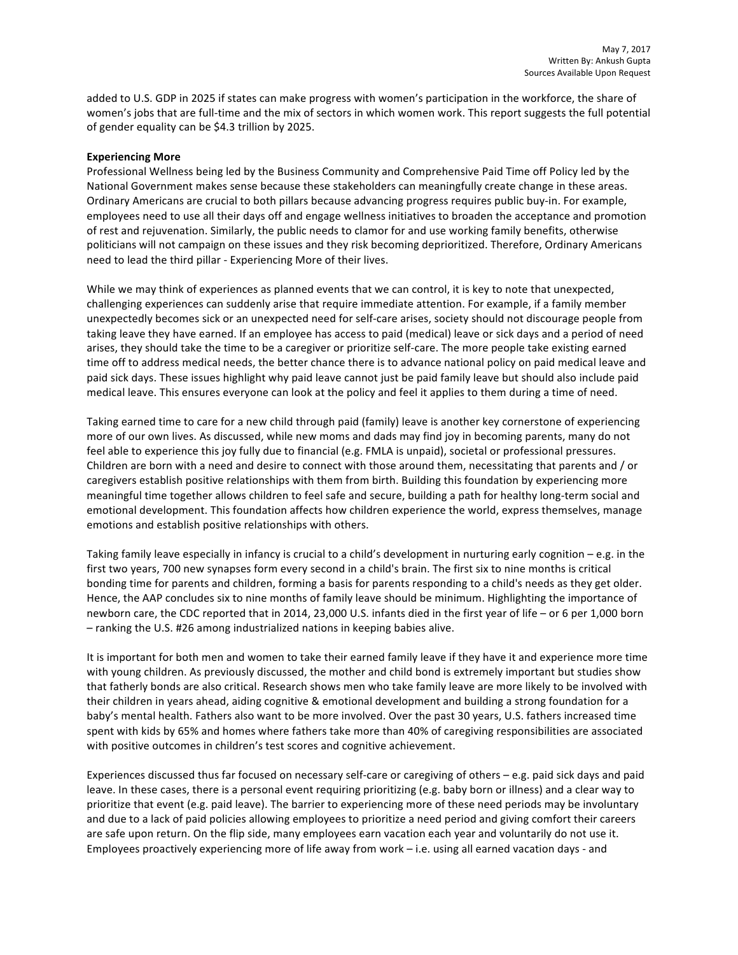added to U.S. GDP in 2025 if states can make progress with women's participation in the workforce, the share of women's jobs that are full-time and the mix of sectors in which women work. This report suggests the full potential of gender equality can be \$4.3 trillion by 2025.

## **Experiencing More**

Professional Wellness being led by the Business Community and Comprehensive Paid Time off Policy led by the National Government makes sense because these stakeholders can meaningfully create change in these areas. Ordinary Americans are crucial to both pillars because advancing progress requires public buy-in. For example, employees need to use all their days off and engage wellness initiatives to broaden the acceptance and promotion of rest and rejuvenation. Similarly, the public needs to clamor for and use working family benefits, otherwise politicians will not campaign on these issues and they risk becoming deprioritized. Therefore, Ordinary Americans need to lead the third pillar - Experiencing More of their lives.

While we may think of experiences as planned events that we can control, it is key to note that unexpected, challenging experiences can suddenly arise that require immediate attention. For example, if a family member unexpectedly becomes sick or an unexpected need for self-care arises, society should not discourage people from taking leave they have earned. If an employee has access to paid (medical) leave or sick days and a period of need arises, they should take the time to be a caregiver or prioritize self-care. The more people take existing earned time off to address medical needs, the better chance there is to advance national policy on paid medical leave and paid sick days. These issues highlight why paid leave cannot just be paid family leave but should also include paid medical leave. This ensures everyone can look at the policy and feel it applies to them during a time of need.

Taking earned time to care for a new child through paid (family) leave is another key cornerstone of experiencing more of our own lives. As discussed, while new moms and dads may find joy in becoming parents, many do not feel able to experience this joy fully due to financial (e.g. FMLA is unpaid), societal or professional pressures. Children are born with a need and desire to connect with those around them, necessitating that parents and / or caregivers establish positive relationships with them from birth. Building this foundation by experiencing more meaningful time together allows children to feel safe and secure, building a path for healthy long-term social and emotional development. This foundation affects how children experience the world, express themselves, manage emotions and establish positive relationships with others.

Taking family leave especially in infancy is crucial to a child's development in nurturing early cognition – e.g. in the first two years, 700 new synapses form every second in a child's brain. The first six to nine months is critical bonding time for parents and children, forming a basis for parents responding to a child's needs as they get older. Hence, the AAP concludes six to nine months of family leave should be minimum. Highlighting the importance of newborn care, the CDC reported that in 2014, 23,000 U.S. infants died in the first year of life – or 6 per 1,000 born  $-$  ranking the U.S. #26 among industrialized nations in keeping babies alive.

It is important for both men and women to take their earned family leave if they have it and experience more time with young children. As previously discussed, the mother and child bond is extremely important but studies show that fatherly bonds are also critical. Research shows men who take family leave are more likely to be involved with their children in years ahead, aiding cognitive & emotional development and building a strong foundation for a baby's mental health. Fathers also want to be more involved. Over the past 30 years, U.S. fathers increased time spent with kids by 65% and homes where fathers take more than 40% of caregiving responsibilities are associated with positive outcomes in children's test scores and cognitive achievement.

Experiences discussed thus far focused on necessary self-care or caregiving of others - e.g. paid sick days and paid leave. In these cases, there is a personal event requiring prioritizing (e.g. baby born or illness) and a clear way to prioritize that event (e.g. paid leave). The barrier to experiencing more of these need periods may be involuntary and due to a lack of paid policies allowing employees to prioritize a need period and giving comfort their careers are safe upon return. On the flip side, many employees earn vacation each year and voluntarily do not use it. Employees proactively experiencing more of life away from work  $-$  i.e. using all earned vacation days - and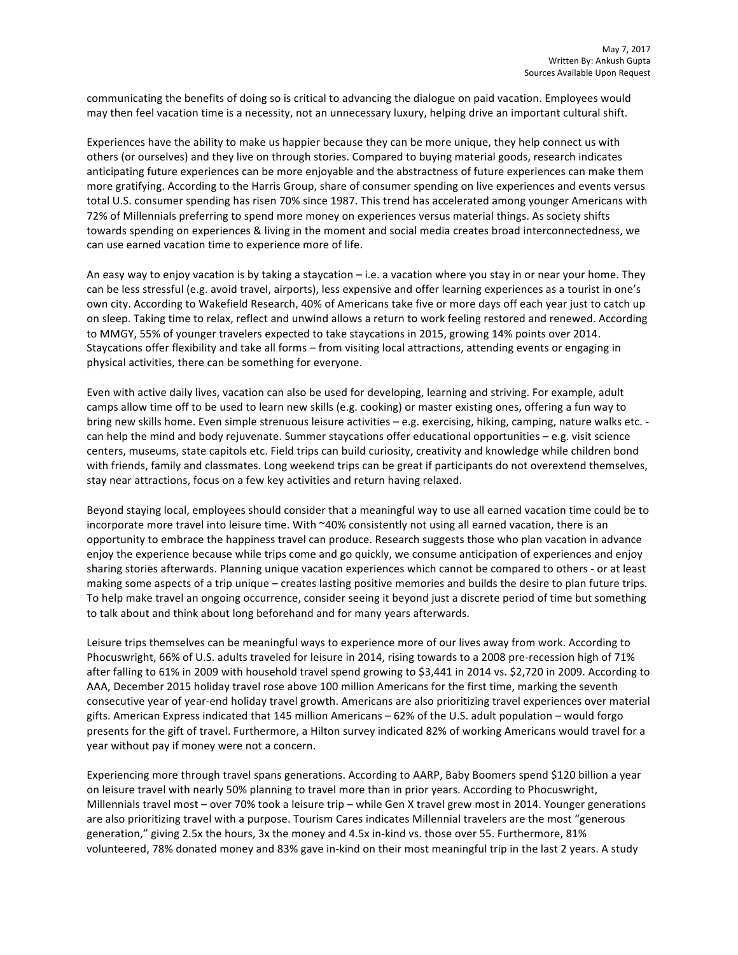communicating the benefits of doing so is critical to advancing the dialogue on paid vacation. Employees would may then feel vacation time is a necessity, not an unnecessary luxury, helping drive an important cultural shift.

Experiences have the ability to make us happier because they can be more unique, they help connect us with others (or ourselves) and they live on through stories. Compared to buying material goods, research indicates anticipating future experiences can be more enjoyable and the abstractness of future experiences can make them more gratifying. According to the Harris Group, share of consumer spending on live experiences and events versus total U.S. consumer spending has risen 70% since 1987. This trend has accelerated among younger Americans with 72% of Millennials preferring to spend more money on experiences versus material things. As society shifts towards spending on experiences & living in the moment and social media creates broad interconnectedness, we can use earned vacation time to experience more of life.

An easy way to enjoy vacation is by taking a staycation – i.e. a vacation where you stay in or near your home. They can be less stressful (e.g. avoid travel, airports), less expensive and offer learning experiences as a tourist in one's own city. According to Wakefield Research, 40% of Americans take five or more days off each year just to catch up on sleep. Taking time to relax, reflect and unwind allows a return to work feeling restored and renewed. According to MMGY, 55% of younger travelers expected to take staycations in 2015, growing 14% points over 2014. Staycations offer flexibility and take all forms – from visiting local attractions, attending events or engaging in physical activities, there can be something for everyone.

Even with active daily lives, vacation can also be used for developing, learning and striving. For example, adult camps allow time off to be used to learn new skills (e.g. cooking) or master existing ones, offering a fun way to bring new skills home. Even simple strenuous leisure activities – e.g. exercising, hiking, camping, nature walks etc. can help the mind and body rejuvenate. Summer staycations offer educational opportunities  $- e.g.$  visit science centers, museums, state capitols etc. Field trips can build curiosity, creativity and knowledge while children bond with friends, family and classmates. Long weekend trips can be great if participants do not overextend themselves, stay near attractions, focus on a few key activities and return having relaxed.

Beyond staying local, employees should consider that a meaningful way to use all earned vacation time could be to incorporate more travel into leisure time. With ~40% consistently not using all earned vacation, there is an opportunity to embrace the happiness travel can produce. Research suggests those who plan vacation in advance enjoy the experience because while trips come and go quickly, we consume anticipation of experiences and enjoy sharing stories afterwards. Planning unique vacation experiences which cannot be compared to others - or at least making some aspects of a trip unique – creates lasting positive memories and builds the desire to plan future trips. To help make travel an ongoing occurrence, consider seeing it beyond just a discrete period of time but something to talk about and think about long beforehand and for many years afterwards.

Leisure trips themselves can be meaningful ways to experience more of our lives away from work. According to Phocuswright, 66% of U.S. adults traveled for leisure in 2014, rising towards to a 2008 pre-recession high of 71% after falling to 61% in 2009 with household travel spend growing to \$3,441 in 2014 vs. \$2,720 in 2009. According to AAA, December 2015 holiday travel rose above 100 million Americans for the first time, marking the seventh consecutive year of year-end holiday travel growth. Americans are also prioritizing travel experiences over material gifts. American Express indicated that 145 million Americans - 62% of the U.S. adult population - would forgo presents for the gift of travel. Furthermore, a Hilton survey indicated 82% of working Americans would travel for a year without pay if money were not a concern.

Experiencing more through travel spans generations. According to AARP, Baby Boomers spend \$120 billion a year on leisure travel with nearly 50% planning to travel more than in prior years. According to Phocuswright, Millennials travel most – over 70% took a leisure trip – while Gen X travel grew most in 2014. Younger generations are also prioritizing travel with a purpose. Tourism Cares indicates Millennial travelers are the most "generous generation," giving 2.5x the hours, 3x the money and 4.5x in-kind vs. those over 55. Furthermore, 81% volunteered, 78% donated money and 83% gave in-kind on their most meaningful trip in the last 2 years. A study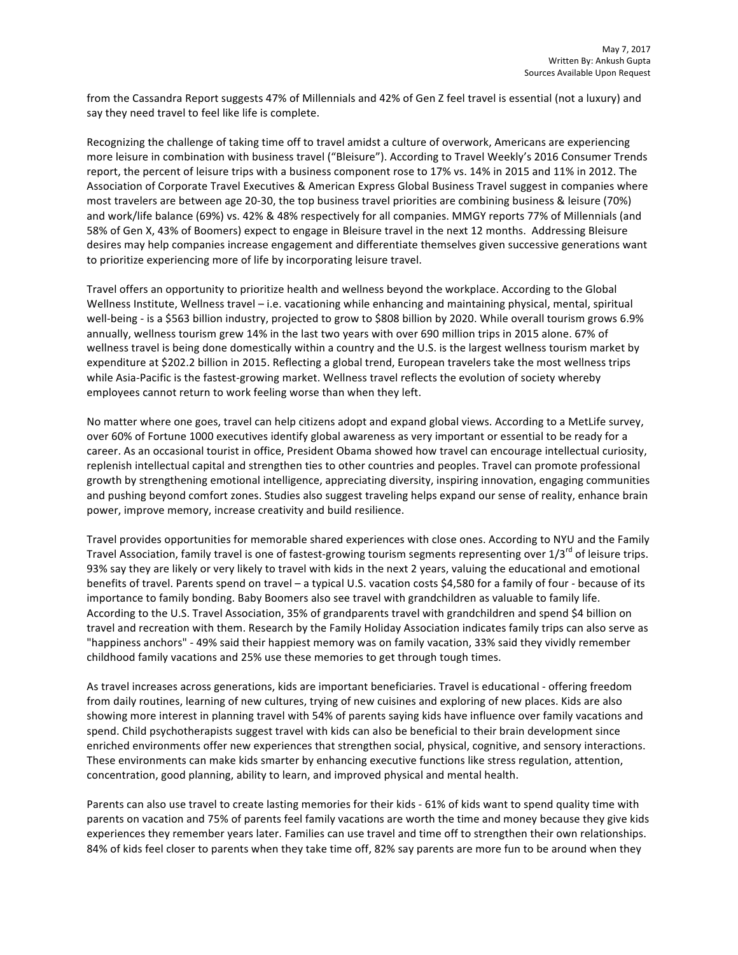from the Cassandra Report suggests 47% of Millennials and 42% of Gen Z feel travel is essential (not a luxury) and say they need travel to feel like life is complete.

Recognizing the challenge of taking time off to travel amidst a culture of overwork, Americans are experiencing more leisure in combination with business travel ("Bleisure"). According to Travel Weekly's 2016 Consumer Trends report, the percent of leisure trips with a business component rose to 17% vs. 14% in 2015 and 11% in 2012. The Association of Corporate Travel Executives & American Express Global Business Travel suggest in companies where most travelers are between age 20-30, the top business travel priorities are combining business & leisure (70%) and work/life balance (69%) vs. 42% & 48% respectively for all companies. MMGY reports 77% of Millennials (and 58% of Gen X, 43% of Boomers) expect to engage in Bleisure travel in the next 12 months. Addressing Bleisure desires may help companies increase engagement and differentiate themselves given successive generations want to prioritize experiencing more of life by incorporating leisure travel.

Travel offers an opportunity to prioritize health and wellness beyond the workplace. According to the Global Wellness Institute, Wellness travel – i.e. vacationing while enhancing and maintaining physical, mental, spiritual well-being - is a \$563 billion industry, projected to grow to \$808 billion by 2020. While overall tourism grows 6.9% annually, wellness tourism grew 14% in the last two years with over 690 million trips in 2015 alone. 67% of wellness travel is being done domestically within a country and the U.S. is the largest wellness tourism market by expenditure at \$202.2 billion in 2015. Reflecting a global trend, European travelers take the most wellness trips while Asia-Pacific is the fastest-growing market. Wellness travel reflects the evolution of society whereby employees cannot return to work feeling worse than when they left.

No matter where one goes, travel can help citizens adopt and expand global views. According to a MetLife survey, over 60% of Fortune 1000 executives identify global awareness as very important or essential to be ready for a career. As an occasional tourist in office, President Obama showed how travel can encourage intellectual curiosity, replenish intellectual capital and strengthen ties to other countries and peoples. Travel can promote professional growth by strengthening emotional intelligence, appreciating diversity, inspiring innovation, engaging communities and pushing beyond comfort zones. Studies also suggest traveling helps expand our sense of reality, enhance brain power, improve memory, increase creativity and build resilience.

Travel provides opportunities for memorable shared experiences with close ones. According to NYU and the Family Travel Association, family travel is one of fastest-growing tourism segments representing over  $1/3^{rd}$  of leisure trips. 93% say they are likely or very likely to travel with kids in the next 2 years, valuing the educational and emotional benefits of travel. Parents spend on travel – a typical U.S. vacation costs \$4,580 for a family of four - because of its importance to family bonding. Baby Boomers also see travel with grandchildren as valuable to family life. According to the U.S. Travel Association, 35% of grandparents travel with grandchildren and spend \$4 billion on travel and recreation with them. Research by the Family Holiday Association indicates family trips can also serve as "happiness anchors" - 49% said their happiest memory was on family vacation, 33% said they vividly remember childhood family vacations and 25% use these memories to get through tough times.

As travel increases across generations, kids are important beneficiaries. Travel is educational - offering freedom from daily routines, learning of new cultures, trying of new cuisines and exploring of new places. Kids are also showing more interest in planning travel with 54% of parents saying kids have influence over family vacations and spend. Child psychotherapists suggest travel with kids can also be beneficial to their brain development since enriched environments offer new experiences that strengthen social, physical, cognitive, and sensory interactions. These environments can make kids smarter by enhancing executive functions like stress regulation, attention, concentration, good planning, ability to learn, and improved physical and mental health.

Parents can also use travel to create lasting memories for their kids - 61% of kids want to spend quality time with parents on vacation and 75% of parents feel family vacations are worth the time and money because they give kids experiences they remember years later. Families can use travel and time off to strengthen their own relationships. 84% of kids feel closer to parents when they take time off, 82% say parents are more fun to be around when they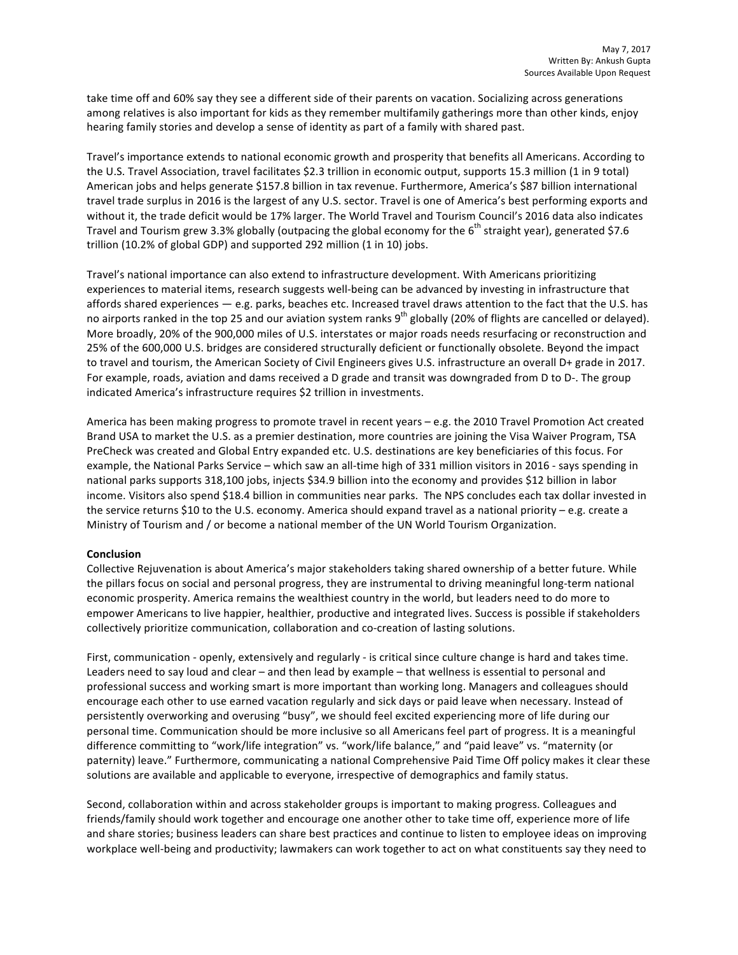take time off and 60% say they see a different side of their parents on vacation. Socializing across generations among relatives is also important for kids as they remember multifamily gatherings more than other kinds, enjoy hearing family stories and develop a sense of identity as part of a family with shared past.

Travel's importance extends to national economic growth and prosperity that benefits all Americans. According to the U.S. Travel Association, travel facilitates \$2.3 trillion in economic output, supports 15.3 million (1 in 9 total) American jobs and helps generate \$157.8 billion in tax revenue. Furthermore, America's \$87 billion international travel trade surplus in 2016 is the largest of any U.S. sector. Travel is one of America's best performing exports and without it, the trade deficit would be 17% larger. The World Travel and Tourism Council's 2016 data also indicates Travel and Tourism grew 3.3% globally (outpacing the global economy for the 6<sup>th</sup> straight year), generated \$7.6 trillion (10.2% of global GDP) and supported 292 million (1 in 10) jobs.

Travel's national importance can also extend to infrastructure development. With Americans prioritizing experiences to material items, research suggests well-being can be advanced by investing in infrastructure that affords shared experiences  $-$  e.g. parks, beaches etc. Increased travel draws attention to the fact that the U.S. has no airports ranked in the top 25 and our aviation system ranks 9<sup>th</sup> globally (20% of flights are cancelled or delayed). More broadly, 20% of the 900,000 miles of U.S. interstates or major roads needs resurfacing or reconstruction and 25% of the 600,000 U.S. bridges are considered structurally deficient or functionally obsolete. Beyond the impact to travel and tourism, the American Society of Civil Engineers gives U.S. infrastructure an overall D+ grade in 2017. For example, roads, aviation and dams received a D grade and transit was downgraded from D to D-. The group indicated America's infrastructure requires \$2 trillion in investments.

America has been making progress to promote travel in recent years – e.g. the 2010 Travel Promotion Act created Brand USA to market the U.S. as a premier destination, more countries are joining the Visa Waiver Program, TSA PreCheck was created and Global Entry expanded etc. U.S. destinations are key beneficiaries of this focus. For example, the National Parks Service – which saw an all-time high of 331 million visitors in 2016 - says spending in national parks supports 318,100 jobs, injects \$34.9 billion into the economy and provides \$12 billion in labor income. Visitors also spend \$18.4 billion in communities near parks. The NPS concludes each tax dollar invested in the service returns \$10 to the U.S. economy. America should expand travel as a national priority  $-$  e.g. create a Ministry of Tourism and / or become a national member of the UN World Tourism Organization.

## **Conclusion**

Collective Rejuvenation is about America's major stakeholders taking shared ownership of a better future. While the pillars focus on social and personal progress, they are instrumental to driving meaningful long-term national economic prosperity. America remains the wealthiest country in the world, but leaders need to do more to empower Americans to live happier, healthier, productive and integrated lives. Success is possible if stakeholders collectively prioritize communication, collaboration and co-creation of lasting solutions.

First, communication - openly, extensively and regularly - is critical since culture change is hard and takes time. Leaders need to say loud and clear – and then lead by example – that wellness is essential to personal and professional success and working smart is more important than working long. Managers and colleagues should encourage each other to use earned vacation regularly and sick days or paid leave when necessary. Instead of persistently overworking and overusing "busy", we should feel excited experiencing more of life during our personal time. Communication should be more inclusive so all Americans feel part of progress. It is a meaningful difference committing to "work/life integration" vs. "work/life balance," and "paid leave" vs. "maternity (or paternity) leave." Furthermore, communicating a national Comprehensive Paid Time Off policy makes it clear these solutions are available and applicable to everyone, irrespective of demographics and family status.

Second, collaboration within and across stakeholder groups is important to making progress. Colleagues and friends/family should work together and encourage one another other to take time off, experience more of life and share stories; business leaders can share best practices and continue to listen to employee ideas on improving workplace well-being and productivity; lawmakers can work together to act on what constituents say they need to